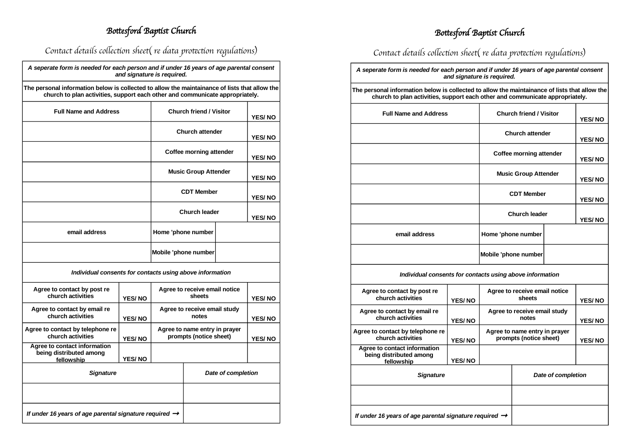## Bottesford Baptist Church

## Bottesford Baptist Church

Contact details collection sheet( re data protection regulations)

| A seperate form is needed for each person and if under 16 years of age parental consent |
|-----------------------------------------------------------------------------------------|
| and signature is reguired.                                                              |

**The personal information below is collected to allow the maintainance of lists that allow the church to plan activities, support each other and communicate appropriately.**

| <b>Full Name and Address</b>                                          |                   | <b>Church friend / Visitor</b>                          |                      |               | <b>YES/NO</b> |  |  |
|-----------------------------------------------------------------------|-------------------|---------------------------------------------------------|----------------------|---------------|---------------|--|--|
|                                                                       |                   | <b>Church attender</b>                                  |                      | <b>YES/NO</b> |               |  |  |
|                                                                       |                   | Coffee morning attender                                 |                      | <b>YES/NO</b> |               |  |  |
|                                                                       |                   | <b>Music Group Attender</b>                             |                      | <b>YES/NO</b> |               |  |  |
|                                                                       | <b>CDT Member</b> |                                                         | <b>YES/NO</b>        |               |               |  |  |
|                                                                       |                   |                                                         | <b>Church leader</b> |               | <b>YES/NO</b> |  |  |
| email address                                                         |                   |                                                         | Home 'phone number   |               |               |  |  |
|                                                                       |                   | Mobile 'phone number                                    |                      |               |               |  |  |
| Individual consents for contacts using above information              |                   |                                                         |                      |               |               |  |  |
| Agree to contact by post re<br>church activities                      | <b>YES/NO</b>     | Agree to receive email notice<br>sheets                 |                      | <b>YES/NO</b> |               |  |  |
| Agree to contact by email re<br>church activities                     | <b>YES/NO</b>     | Agree to receive email study<br>notes                   |                      | <b>YES/NO</b> |               |  |  |
| Agree to contact by telephone re<br>church activities                 | YES/NO            | Agree to name entry in prayer<br>prompts (notice sheet) |                      | <b>YES/NO</b> |               |  |  |
| Agree to contact information<br>being distributed among<br>fellowship | <b>YES/NO</b>     |                                                         |                      |               |               |  |  |
| <b>Signature</b>                                                      |                   |                                                         | Date of completion   |               |               |  |  |
|                                                                       |                   |                                                         |                      |               |               |  |  |

*If under 16 years of age parental signature required* 

#### Contact details collection sheet( re data protection regulations)

*A seperate form is needed for each person and if under 16 years of age parental consent and signature is required.*

**The personal information below is collected to allow the maintainance of lists that allow the church to plan activities, support each other and communicate appropriately.**

| <b>Full Name and Address</b>                                          | <b>Church friend / Visitor</b> |                                                         |                    | <b>YES/NO</b> |               |
|-----------------------------------------------------------------------|--------------------------------|---------------------------------------------------------|--------------------|---------------|---------------|
|                                                                       |                                | <b>Church attender</b>                                  |                    | YES/NO        |               |
|                                                                       |                                | Coffee morning attender                                 |                    | <b>YES/NO</b> |               |
|                                                                       |                                | <b>Music Group Attender</b>                             |                    |               | <b>YES/NO</b> |
|                                                                       |                                |                                                         | <b>CDT Member</b>  |               | <b>YES/NO</b> |
|                                                                       |                                | <b>Church leader</b>                                    |                    | <b>YES/NO</b> |               |
| email address                                                         |                                |                                                         | Home 'phone number |               |               |
|                                                                       | Mobile 'phone number           |                                                         |                    |               |               |
| Individual consents for contacts using above information              |                                |                                                         |                    |               |               |
| Agree to contact by post re<br>church activities                      | <b>YES/NO</b>                  | Agree to receive email notice<br>sheets                 |                    |               | <b>YES/NO</b> |
| Agree to contact by email re<br>church activities                     | <b>YES/NO</b>                  | Agree to receive email study<br>notes                   |                    |               | <b>YES/NO</b> |
| Agree to contact by telephone re<br>church activities                 | YES/NO                         | Agree to name entry in prayer<br>prompts (notice sheet) |                    | <b>YES/NO</b> |               |
| Agree to contact information<br>being distributed among<br>fellowship | <b>YES/NO</b>                  |                                                         |                    |               |               |
| <b>Signature</b>                                                      |                                |                                                         | Date of completion |               |               |
|                                                                       |                                |                                                         |                    |               |               |
| If under 16 years of age parental signature required $\rightarrow$    |                                |                                                         |                    |               |               |